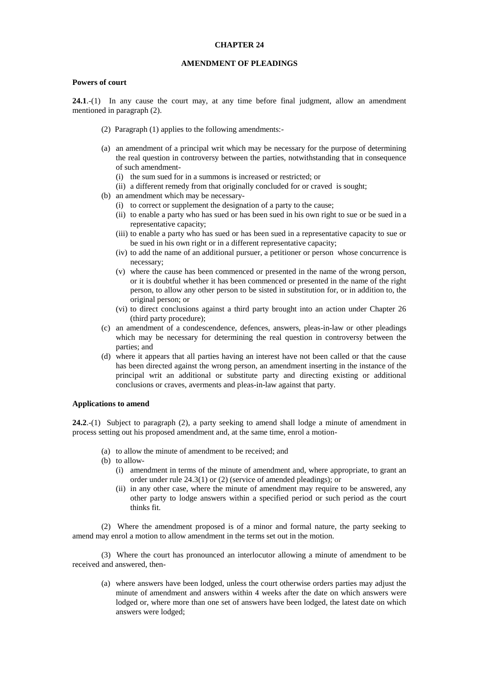#### **CHAPTER 24**

#### **AMENDMENT OF PLEADINGS**

# **Powers of court**

24.1.-(1) In any cause the court may, at any time before final judgment, allow an amendment mentioned in paragraph (2).

- (2) Paragraph (1) applies to the following amendments:-
- (a) an amendment of a principal writ which may be necessary for the purpose of determining the real question in controversy between the parties, notwithstanding that in consequence of such amendment-
	- (i) the sum sued for in a summons is increased or restricted; or
	- (ii) a different remedy from that originally concluded for or craved is sought;
- (b) an amendment which may be necessary-
	- (i) to correct or supplement the designation of a party to the cause;
	- (ii) to enable a party who has sued or has been sued in his own right to sue or be sued in a representative capacity;
	- (iii) to enable a party who has sued or has been sued in a representative capacity to sue or be sued in his own right or in a different representative capacity;
	- (iv) to add the name of an additional pursuer, a petitioner or person whose concurrence is necessary;
	- (v) where the cause has been commenced or presented in the name of the wrong person, or it is doubtful whether it has been commenced or presented in the name of the right person, to allow any other person to be sisted in substitution for, or in addition to, the original person; or
	- (vi) to direct conclusions against a third party brought into an action under Chapter 26 (third party procedure);
- (c) an amendment of a condescendence, defences, answers, pleas-in-law or other pleadings which may be necessary for determining the real question in controversy between the parties; and
- (d) where it appears that all parties having an interest have not been called or that the cause has been directed against the wrong person, an amendment inserting in the instance of the principal writ an additional or substitute party and directing existing or additional conclusions or craves, averments and pleas-in-law against that party.

### **Applications to amend**

**24.2**.-(1) Subject to paragraph (2), a party seeking to amend shall lodge a minute of amendment in process setting out his proposed amendment and, at the same time, enrol a motion-

- (a) to allow the minute of amendment to be received; and
- (b) to allow-
	- (i) amendment in terms of the minute of amendment and, where appropriate, to grant an order under rule 24.3(1) or (2) (service of amended pleadings); or
	- (ii) in any other case, where the minute of amendment may require to be answered, any other party to lodge answers within a specified period or such period as the court thinks fit.

(2) Where the amendment proposed is of a minor and formal nature, the party seeking to amend may enrol a motion to allow amendment in the terms set out in the motion.

(3) Where the court has pronounced an interlocutor allowing a minute of amendment to be received and answered, then-

(a) where answers have been lodged, unless the court otherwise orders parties may adjust the minute of amendment and answers within 4 weeks after the date on which answers were lodged or, where more than one set of answers have been lodged, the latest date on which answers were lodged;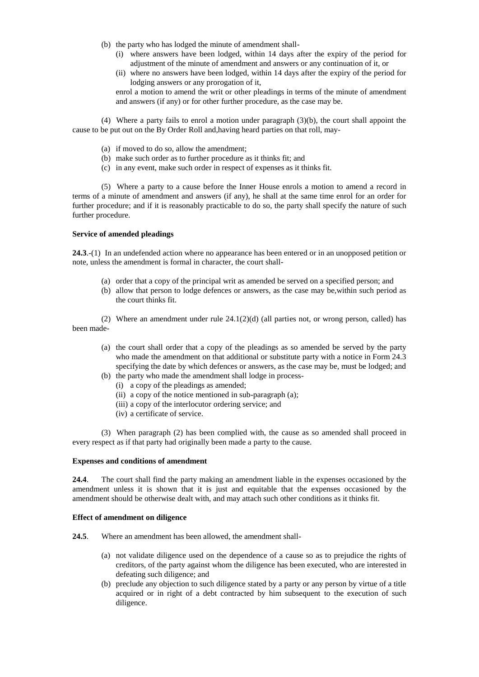- (b) the party who has lodged the minute of amendment shall-
	- (i) where answers have been lodged, within 14 days after the expiry of the period for adjustment of the minute of amendment and answers or any continuation of it, or
	- (ii) where no answers have been lodged, within 14 days after the expiry of the period for lodging answers or any prorogation of it,

enrol a motion to amend the writ or other pleadings in terms of the minute of amendment and answers (if any) or for other further procedure, as the case may be.

(4) Where a party fails to enrol a motion under paragraph (3)(b), the court shall appoint the cause to be put out on the By Order Roll and,having heard parties on that roll, may-

- (a) if moved to do so, allow the amendment;
- (b) make such order as to further procedure as it thinks fit; and
- (c) in any event, make such order in respect of expenses as it thinks fit.

(5) Where a party to a cause before the Inner House enrols a motion to amend a record in terms of a minute of amendment and answers (if any), he shall at the same time enrol for an order for further procedure; and if it is reasonably practicable to do so, the party shall specify the nature of such further procedure.

# **Service of amended pleadings**

**24.3**.-(1) In an undefended action where no appearance has been entered or in an unopposed petition or note, unless the amendment is formal in character, the court shall-

- (a) order that a copy of the principal writ as amended be served on a specified person; and
- (b) allow that person to lodge defences or answers, as the case may be,within such period as the court thinks fit.

(2) Where an amendment under rule  $24.1(2)(d)$  (all parties not, or wrong person, called) has been made-

- (a) the court shall order that a copy of the pleadings as so amended be served by the party who made the amendment on that additional or substitute party with a notice in Form 24.3 specifying the date by which defences or answers, as the case may be, must be lodged; and
- (b) the party who made the amendment shall lodge in process-
	- (i) a copy of the pleadings as amended;
	- (ii) a copy of the notice mentioned in sub-paragraph (a);
	- (iii) a copy of the interlocutor ordering service; and
	- (iv) a certificate of service.

(3) When paragraph (2) has been complied with, the cause as so amended shall proceed in every respect as if that party had originally been made a party to the cause.

## **Expenses and conditions of amendment**

**24.4**. The court shall find the party making an amendment liable in the expenses occasioned by the amendment unless it is shown that it is just and equitable that the expenses occasioned by the amendment should be otherwise dealt with, and may attach such other conditions as it thinks fit.

## **Effect of amendment on diligence**

- **24.5**. Where an amendment has been allowed, the amendment shall-
	- (a) not validate diligence used on the dependence of a cause so as to prejudice the rights of creditors, of the party against whom the diligence has been executed, who are interested in defeating such diligence; and
	- (b) preclude any objection to such diligence stated by a party or any person by virtue of a title acquired or in right of a debt contracted by him subsequent to the execution of such diligence.